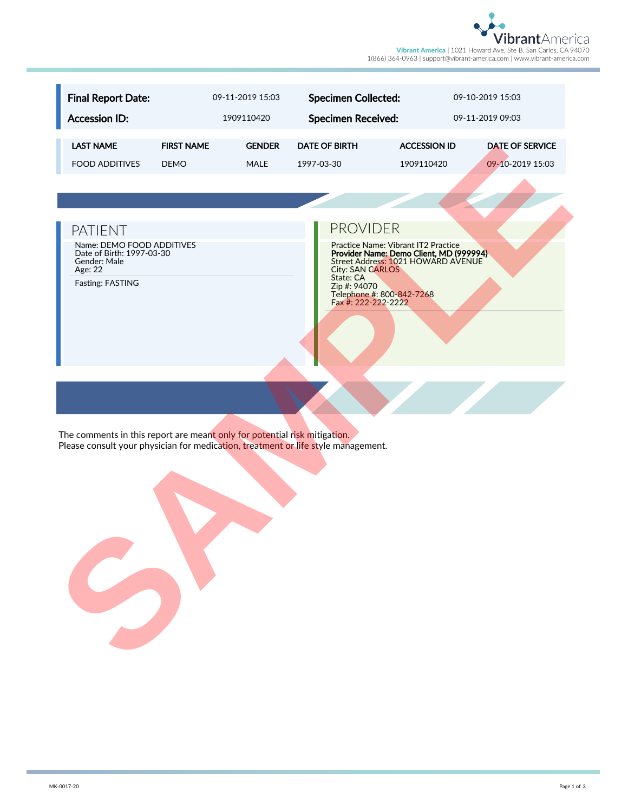

| <b>Final Report Date:</b>                                                                                                                                      |                   | 09-11-2019 15:03 | <b>Specimen Collected:</b>                                                                               |                                                                                                                      | 09-10-2019 15:03       |
|----------------------------------------------------------------------------------------------------------------------------------------------------------------|-------------------|------------------|----------------------------------------------------------------------------------------------------------|----------------------------------------------------------------------------------------------------------------------|------------------------|
| <b>Accession ID:</b>                                                                                                                                           |                   | 1909110420       | <b>Specimen Received:</b>                                                                                |                                                                                                                      | 09-11-2019 09:03       |
| <b>LAST NAME</b>                                                                                                                                               | <b>FIRST NAME</b> | <b>GENDER</b>    | <b>DATE OF BIRTH</b>                                                                                     | <b>ACCESSION ID</b>                                                                                                  | <b>DATE OF SERVICE</b> |
| <b>FOOD ADDITIVES</b>                                                                                                                                          | <b>DEMO</b>       | <b>MALE</b>      | 1997-03-30                                                                                               | 1909110420                                                                                                           | 09-10-2019 15:03       |
|                                                                                                                                                                |                   |                  |                                                                                                          |                                                                                                                      |                        |
|                                                                                                                                                                |                   |                  |                                                                                                          |                                                                                                                      |                        |
| <b>PATIENT</b>                                                                                                                                                 |                   |                  | <b>PROVIDER</b>                                                                                          |                                                                                                                      |                        |
| Name: DEMO FOOD ADDITIVES<br>Date of Birth: 1997-03-30<br>Gender: Male<br>Age: 22<br>Fasting: FASTING                                                          |                   |                  | <b>City: SAN CARLOS</b><br>State: CA<br>Zip #: 94070<br>Telephone #: 800-842-7268<br>Fax #: 222-222-2222 | Practice Name: Vibrant IT2 Practice<br>Provider Name: Demo Client, MD (999994)<br>Street Address: 1021 HOWARD AVENUE |                        |
| The comments in this report are meant only for potential risk mitigation.<br>Please consult your physician for medication, treatment or life style management. |                   |                  |                                                                                                          |                                                                                                                      |                        |
|                                                                                                                                                                |                   |                  |                                                                                                          |                                                                                                                      |                        |

## PATIENT **PATIENT**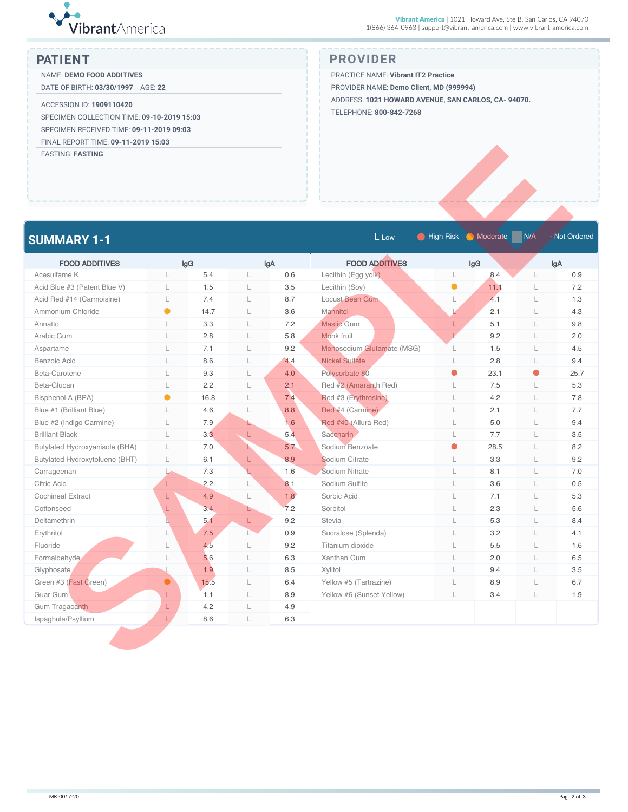

NAME: **DEMO FOOD ADDITIVES** DATE OF BIRTH: **03/30/1997** AGE: **22**

ACCESSION ID: **1909110420** SPECIMEN COLLECTION TIME: **09-10-2019 15:03** SPECIMEN RECEIVED TIME: **09-11-2019 09:03** FINAL REPORT TIME: **09-11-2019 15:03**

### **PATIENT PROVIDER**

PRACTICE NAME: **Vibrant IT2 Practice**

PROVIDER NAME: **Demo Client, MD (999994)**

ADDRESS: **1021 HOWARD AVENUE, SAN CARLOS, CA- 94070.**

TELEPHONE: **800-842-7268**

| <b>FASTING: FASTING</b>        |              |      |    |     |                            |                    |                 |     |               |
|--------------------------------|--------------|------|----|-----|----------------------------|--------------------|-----------------|-----|---------------|
|                                |              |      |    |     |                            |                    |                 |     |               |
| <b>SUMMARY 1-1</b>             |              |      |    |     | L Low                      | <b>C</b> High Risk | <b>Moderate</b> | N/A | - Not Ordered |
| <b>FOOD ADDITIVES</b>          |              | lgG  |    | lgA | <b>FOOD ADDITIVES</b>      |                    | lgG             |     | lgA           |
| Acesulfame K                   | L            | 5.4  | L  | 0.6 | Lecithin (Egg yolk)        | L                  | 8.4             | L   | 0.9           |
| Acid Blue #3 (Patent Blue V)   | L            | 1.5  | L  | 3.5 | Lecithin (Soy)             | $\bullet$          | 11.1            | L   | 7.2           |
| Acid Red #14 (Carmoisine)      | L            | 7.4  | L  | 8.7 | Locust Bean Gum            | $\mathsf{L}$       | 4.1             | L   | 1.3           |
| Ammonium Chloride              | $\bullet$    | 14.7 | L  | 3.6 | <b>Mannitol</b>            |                    | 2.1             | L   | 4.3           |
| Annatto                        | L            | 3.3  | L  | 7.2 | <b>Mastic Gum</b>          | L                  | 5.1             | L   | 9.8           |
| Arabic Gum                     | L            | 2.8  | L  | 5.8 | Monk fruit                 | $\mathbf{V}$       | 9.2             | L   | 2.0           |
| Aspartame                      | L            | 7.1  | L  | 9.2 | Monosodium Glutamate (MSG) | L                  | 1.5             | L   | 4.5           |
| Benzoic Acid                   | L            | 8.6  | L  | 4.4 | <b>Nickel Sulfate</b>      | L                  | 2.8             | L   | 9.4           |
| Beta-Carotene                  | L            | 9.3  | L  | 4.0 | Polysorbate 80             | 0                  | 23.1            | 0   | 25.7          |
| Beta-Glucan                    | L            | 2.2  | L  | 2.1 | Red #2 (Amaranth Red)      | L                  | 7.5             | L   | 5.3           |
| Bisphenol A (BPA)              | $\bullet$    | 16.8 | L  | 7.4 | Red #3 (Erythrosine)       | $\mathsf L$        | 4.2             | L   | 7.8           |
| Blue #1 (Brilliant Blue)       | L            | 4.6  | L  | 8.8 | Red #4 (Carmine)           | L                  | 2.1             | L   | 7.7           |
| Blue #2 (Indigo Carmine)       | L            | 7.9  | L. | 1.6 | Red #40 (Allura Red)       | L                  | 5.0             | L   | 9.4           |
| <b>Brilliant Black</b>         | L            | 3.3  | L  | 5.4 | Saccharin                  | L                  | 7.7             | L   | 3.5           |
| Butylated Hydroxyanisole (BHA) | $\Box$       | 7.0  | L. | 5.7 | Sodium Benzoate            | $\bullet$          | 28.5            | L   | 8.2           |
| Butylated Hydroxytoluene (BHT) | L            | 6.1  | L  | 8.9 | Sodium Citrate             | L                  | 3.3             | L   | 9.2           |
| Carrageenan                    | Ł            | 7.3  |    | 1.6 | Sodium Nitrate             | $\Box$             | 8.1             | L   | 7.0           |
| Citric Acid                    | L            | 2.2  | L  | 8.1 | Sodium Sulfite             | L                  | 3.6             | L   | 0.5           |
| <b>Cochineal Extract</b>       | L            | 4.9  | L  | 1.8 | Sorbic Acid                | $\Box$             | 7.1             | L   | 5.3           |
| Cottonseed                     | L            | 3.4  | ь  | 7.2 | Sorbitol                   | $\Box$             | 2.3             | L   | 5.6           |
| Deltamethrin                   |              | 5.1  | L  | 9.2 | Stevia                     | $\mathsf L$        | 5.3             | L   | 8.4           |
| Erythritol                     | L            | 7.5  | Ľ  | 0.9 | Sucralose (Splenda)        | L                  | 3.2             | L   | 4.1           |
| Fluoride                       | L            | 4.5  | L  | 9.2 | Titanium dioxide           | $\mathsf L$        | 5.5             | L   | 1.6           |
| Formaldehyde                   | $\mathbf{L}$ | 5.6  | L  | 6.3 | Xanthan Gum                | $\mathsf{L}$       | 2.0             | L   | 6.5           |
| Glyphosate                     |              | 1.9  | L  | 8.5 | Xylitol                    | L                  | 9.4             | L   | 3.5           |
| Green #3 (Fast Green)          | $\bullet$    | 15.5 | L  | 6.4 | Yellow #5 (Tartrazine)     | L                  | 8.9             | L   | 6.7           |
| Guar Gum                       | L            | 1.1  | L  | 8.9 | Yellow #6 (Sunset Yellow)  | L                  | 3.4             | L   | 1.9           |
| Gum Tragacanth                 | L            | 4.2  | L  | 4.9 |                            |                    |                 |     |               |
| Ispaghula/Psyllium             |              | 8.6  | L  | 6.3 |                            |                    |                 |     |               |

 $\sim$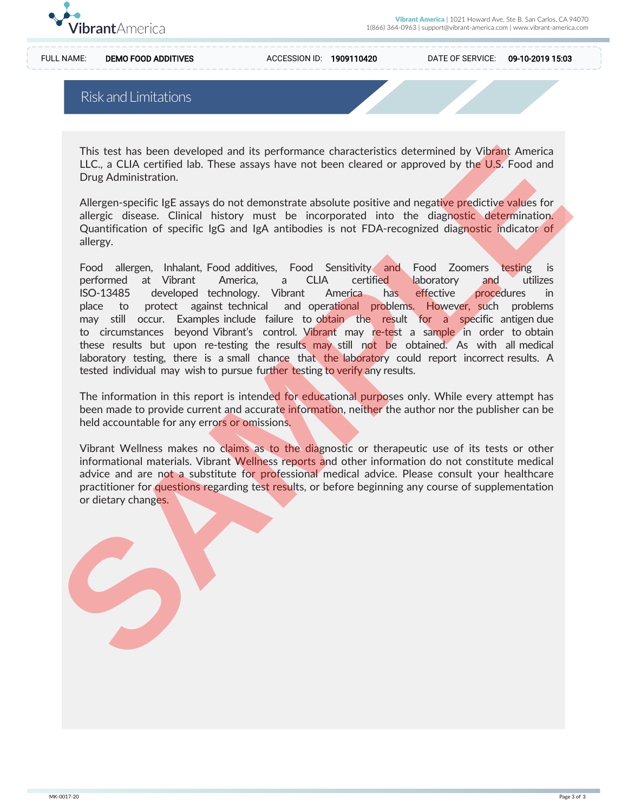

FULL NAME: DEMO FOOD ADDITIVES ACCESSION ID: 1909110420 DATE OF SERVICE: 09-10-2019 15:03

### Risk and Limitations

This test has been developed and its performance characteristics determined by Vibrant America LLC., a CLIA certified lab. These assays have not been cleared or approved by the U.S. Food and Drug Administration.

Allergen-specific IgE assays do not demonstrate absolute positive and negative predictive values for allergic disease. Clinical history must be incorporated into the diagnostic determination. Quantification of specific IgG and IgA antibodies is not FDA-recognized diagnostic indicator of allergy.

Food allergen, Inhalant, Food additives, Food Sensitivity and Food Zoomers testing is performed at Vibrant America, a CLIA certified laboratory and utilizes ISO-13485 developed technology. Vibrant America has effective procedures in place to protect against technical and operational problems. However, such problems may still occur. Examples include failure to obtain the result for a specific antigen due to circumstances beyond Vibrant's control. Vibrant may re-test a sample in order to obtain these results but upon re-testing the results may still not be obtained. As with all medical laboratory testing, there is a small chance that the laboratory could report incorrect results. A tested individual may wish to pursue further testing to verify any results. This test has been developed and its performance characteristics determined by Vikinat America<br>
ILC., a CLIA certified lab. These assays have not been cleared or approved by the U.S. Food and<br>
Drug Administration.<br>
Allerge

The information in this report is intended for educational purposes only. While every attempt has been made to provide current and accurate information, neither the author nor the publisher can be held accountable for any errors or omissions.

Vibrant Wellness makes no claims as to the diagnostic or therapeutic use of its tests or other informational materials. Vibrant Wellness reports and other information do not constitute medical advice and are not a substitute for professional medical advice. Please consult your healthcare practitioner for questions regarding test results, or before beginning any course of supplementation or dietary changes.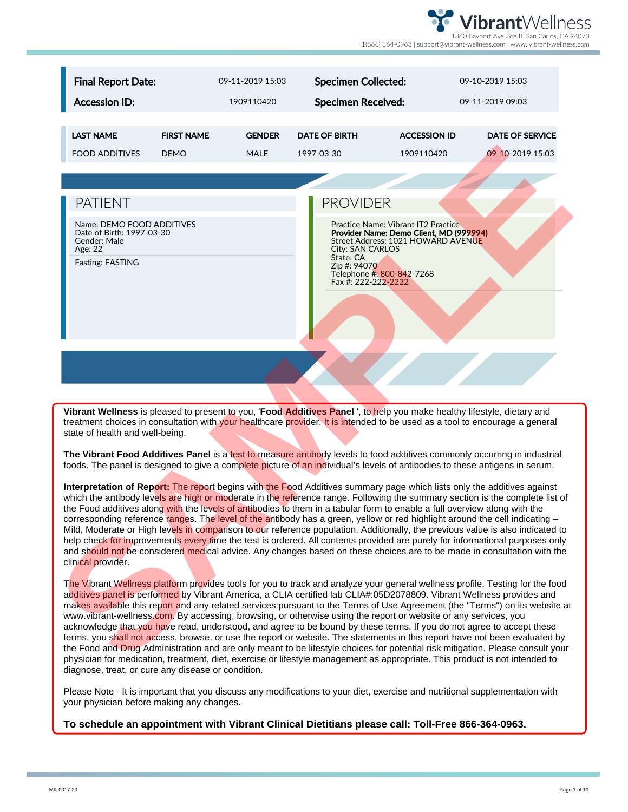

| <b>Final Report Date:</b>                                                                             |                   | 09-11-2019 15:03 | <b>Specimen Collected:</b>                                                                                                |                                                                                                                             | 09-10-2019 15:03                                                                                                                                                                                                                                                                                                                                                                                                                                                                                                                                                                                                                                                                                                                                                                                                                                                                                               |
|-------------------------------------------------------------------------------------------------------|-------------------|------------------|---------------------------------------------------------------------------------------------------------------------------|-----------------------------------------------------------------------------------------------------------------------------|----------------------------------------------------------------------------------------------------------------------------------------------------------------------------------------------------------------------------------------------------------------------------------------------------------------------------------------------------------------------------------------------------------------------------------------------------------------------------------------------------------------------------------------------------------------------------------------------------------------------------------------------------------------------------------------------------------------------------------------------------------------------------------------------------------------------------------------------------------------------------------------------------------------|
| <b>Accession ID:</b>                                                                                  |                   | 1909110420       | <b>Specimen Received:</b>                                                                                                 |                                                                                                                             | 09-11-2019 09:03                                                                                                                                                                                                                                                                                                                                                                                                                                                                                                                                                                                                                                                                                                                                                                                                                                                                                               |
|                                                                                                       |                   |                  |                                                                                                                           |                                                                                                                             |                                                                                                                                                                                                                                                                                                                                                                                                                                                                                                                                                                                                                                                                                                                                                                                                                                                                                                                |
| <b>LAST NAME</b>                                                                                      | <b>FIRST NAME</b> | <b>GENDER</b>    | <b>DATE OF BIRTH</b>                                                                                                      | <b>ACCESSION ID</b>                                                                                                         | <b>DATE OF SERVICE</b>                                                                                                                                                                                                                                                                                                                                                                                                                                                                                                                                                                                                                                                                                                                                                                                                                                                                                         |
| <b>FOOD ADDITIVES</b>                                                                                 | <b>DEMO</b>       | <b>MALE</b>      | 1997-03-30                                                                                                                | 1909110420                                                                                                                  | 09-10-2019 15:03                                                                                                                                                                                                                                                                                                                                                                                                                                                                                                                                                                                                                                                                                                                                                                                                                                                                                               |
|                                                                                                       |                   |                  |                                                                                                                           |                                                                                                                             |                                                                                                                                                                                                                                                                                                                                                                                                                                                                                                                                                                                                                                                                                                                                                                                                                                                                                                                |
| <b>PATIENT</b>                                                                                        |                   |                  | <b>PROVIDER</b>                                                                                                           |                                                                                                                             |                                                                                                                                                                                                                                                                                                                                                                                                                                                                                                                                                                                                                                                                                                                                                                                                                                                                                                                |
| Name: DEMO FOOD ADDITIVES<br>Date of Birth: 1997-03-30<br>Gender: Male<br>Age: 22<br>Fasting: FASTING |                   |                  | City: SAN CARLOS<br>State: CA<br>Zip #: 94070<br>Telephone #: 800-842-7268<br>Fax #: 222-222-2222                         | <b>Practice Name: Vibrant IT2 Practice</b><br>Provider Name: Demo Client, MD (999994)<br>Street Address: 1021 HOWARD AVENUE |                                                                                                                                                                                                                                                                                                                                                                                                                                                                                                                                                                                                                                                                                                                                                                                                                                                                                                                |
| state of health and well-being.                                                                       |                   |                  |                                                                                                                           |                                                                                                                             | Vibrant Wellness is pleased to present to you, 'Food Additives Panel', to help you make healthy lifestyle, dietary and<br>treatment choices in consultation with your healthcare provider. It is intended to be used as a tool to encourage a general                                                                                                                                                                                                                                                                                                                                                                                                                                                                                                                                                                                                                                                          |
|                                                                                                       |                   |                  |                                                                                                                           |                                                                                                                             | The Vibrant Food Additives Panel is a test to measure antibody levels to food additives commonly occurring in industrial<br>foods. The panel is designed to give a complete picture of an individual's levels of antibodies to these antigens in serum.                                                                                                                                                                                                                                                                                                                                                                                                                                                                                                                                                                                                                                                        |
| clinical provider.                                                                                    |                   |                  | the Food additives along with the levels of antibodies to them in a tabular form to enable a full overview along with the |                                                                                                                             | Interpretation of Report: The report begins with the Food Additives summary page which lists only the additives against<br>which the antibody levels are high or moderate in the reference range. Following the summary section is the complete list of<br>corresponding reference ranges. The level of the antibody has a green, yellow or red highlight around the cell indicating -<br>Mild, Moderate or High levels in comparison to our reference population. Additionally, the previous value is also indicated to<br>help check for improvements every time the test is ordered. All contents provided are purely for informational purposes only<br>and should not be considered medical advice. Any changes based on these choices are to be made in consultation with the                                                                                                                            |
|                                                                                                       |                   |                  | www.vibrant-wellness.com. By accessing, browsing, or otherwise using the report or website or any services, you           |                                                                                                                             | The Vibrant Wellness platform provides tools for you to track and analyze your general wellness profile. Testing for the food<br>additives panel is performed by Vibrant America, a CLIA certified lab CLIA#:05D2078809. Vibrant Wellness provides and<br>makes available this report and any related services pursuant to the Terms of Use Agreement (the "Terms") on its website at<br>acknowledge that you have read, understood, and agree to be bound by these terms. If you do not agree to accept these<br>terms, you shall not access, browse, or use the report or website. The statements in this report have not been evaluated by<br>the Food and Drug Administration and are only meant to be lifestyle choices for potential risk mitigation. Please consult your<br>physician for medication, treatment, diet, exercise or lifestyle management as appropriate. This product is not intended to |

The Vibrant Wellness platform provides tools for you to track and analyze your general wellness profile. Testing for the food additives panel is performed by Vibrant America, a CLIA certified lab CLIA#:05D2078809. Vibrant Wellness provides and makes available this report and any related services pursuant to the Terms of Use Agreement (the "Terms") on its website at www.vibrant-wellness.com. By accessing, browsing, or otherwise using the report or website or any services, you acknowledge that you have read, understood, and agree to be bound by these terms. If you do not agree to accept these terms, you shall not access, browse, or use the report or website. The statements in this report have not been evaluated by the Food and Drug Administration and are only meant to be lifestyle choices for potential risk mitigation. Please consult your physician for medication, treatment, diet, exercise or lifestyle management as appropriate. This product is not intended to diagnose, treat, or cure any disease or condition.

Please Note - It is important that you discuss any modifications to your diet, exercise and nutritional supplementation with your physician before making any changes.

**To schedule an appointment with Vibrant Clinical Dietitians please call: Toll-Free 866-364-0963.**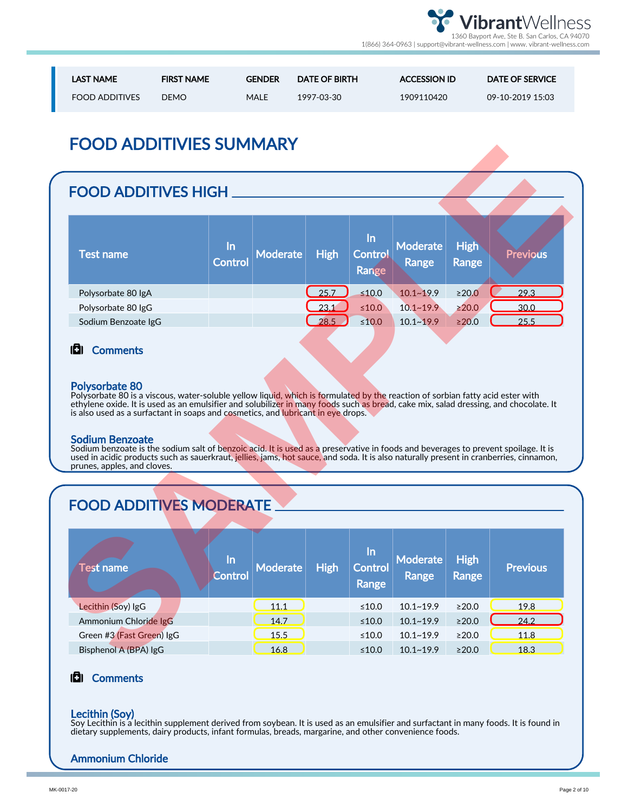

| <b>LAST NAME</b>      | <b>FIRST NAME</b> | <b>GENDER</b> | <b>DATE OF BIRTH</b> | <b>ACCESSION ID</b> | DATE OF SERVICE  |
|-----------------------|-------------------|---------------|----------------------|---------------------|------------------|
| <b>FOOD ADDITIVES</b> | DEMO.             | MALE          | 1997-03-30           | 1909110420          | 09-10-2019 15:03 |

# FOOD ADDITIVIES SUMMARY

## FOOD ADDITIVES HIGH

| Test name           | <u>In</u><br><b>Control</b> | Moderate | <b>High</b> | /In<br><b>Control</b><br>Range | Moderate<br>Range | <b>High</b><br>Range | <b>Previous</b> |
|---------------------|-----------------------------|----------|-------------|--------------------------------|-------------------|----------------------|-----------------|
| Polysorbate 80 IgA  |                             |          | 25.7        | $\leq 10.0$                    | $10.1 - 19.9$     | $\geq 20.0$          | 29.3            |
| Polysorbate 80 IgG  |                             |          | 23.1        | $≤10.0$                        | $10.1 - 19.9$     | $\geq$ 20.0          | 30.0            |
| Sodium Benzoate IgG |                             |          | 28.5        | $≤10.0$                        | $10.1 - 19.9$     | $\geq 20.0$          | 25.5            |

### **D**I Comments

### Polysorbate 80

#### Sodium Benzoate

# FOOD ADDITIVES MODERATE

| FOOD ADDITIVIES SUMMARY                                                                                                                                                                                                                                                                                                                                                                                                                                                                                                                                                                                                                                                                                                                                        |                      |                 |             |                               |                                 |                             |                 |  |  |  |
|----------------------------------------------------------------------------------------------------------------------------------------------------------------------------------------------------------------------------------------------------------------------------------------------------------------------------------------------------------------------------------------------------------------------------------------------------------------------------------------------------------------------------------------------------------------------------------------------------------------------------------------------------------------------------------------------------------------------------------------------------------------|----------------------|-----------------|-------------|-------------------------------|---------------------------------|-----------------------------|-----------------|--|--|--|
| <b>FOOD ADDITIVES HIGH.</b>                                                                                                                                                                                                                                                                                                                                                                                                                                                                                                                                                                                                                                                                                                                                    |                      |                 |             |                               |                                 |                             |                 |  |  |  |
| <b>Test name</b>                                                                                                                                                                                                                                                                                                                                                                                                                                                                                                                                                                                                                                                                                                                                               | <u>In</u><br>Control | <b>Moderate</b> | <b>High</b> | In<br>Control<br>Range        | <b>Moderate</b><br>Range        | <b>High</b><br>Range        | <b>Previous</b> |  |  |  |
| Polysorbate 80 IgA                                                                                                                                                                                                                                                                                                                                                                                                                                                                                                                                                                                                                                                                                                                                             |                      |                 | 25.7        | $\leq 10.0$                   | $10.1 - 19.9$                   | ≥20.0                       | 29.3            |  |  |  |
| Polysorbate 80 IgG                                                                                                                                                                                                                                                                                                                                                                                                                                                                                                                                                                                                                                                                                                                                             |                      |                 | 23.1        | $\leq 10.0$                   | $10.1 - 19.9$                   | $\geq 20.0$                 | 30.0            |  |  |  |
| Sodium Benzoate IgG                                                                                                                                                                                                                                                                                                                                                                                                                                                                                                                                                                                                                                                                                                                                            |                      |                 | 28.5        | $≤10.0$                       | $10.1 - 19.9$                   | $\geq 20.0$                 | 25.5            |  |  |  |
| <b>Polysorbate 80</b><br>Polysorbate 80 is a viscous, water-soluble yellow liquid, which is formulated by the reaction of sorbian fatty acid ester with<br>ethylene oxide. It is used as an emulsifier and solubilizer in many foods such as bread, cake mix, salad dressing, and chocolate. It<br>is also used as a surfactant in soaps and cosmetics, and lubricant in eye drops.<br><b>Sodium Benzoate</b><br>Sodium benzoate is the sodium salt of benzoic acid. It is used as a preservative in foods and beverages to prevent spoilage. It is<br>used in acidic products such as sauerkraut, jellies, jams, hot sauce, and soda. It is also naturally present in cranberries, cinnamon,<br>prunes, apples, and cloves.<br><b>FOOD ADDITIVES MODERATE</b> |                      |                 |             |                               |                                 |                             |                 |  |  |  |
| <b>Test name</b>                                                                                                                                                                                                                                                                                                                                                                                                                                                                                                                                                                                                                                                                                                                                               | In<br>Control        | <b>Moderate</b> | <b>High</b> | In<br>Control<br><b>Range</b> | <b>Moderate</b><br><b>Range</b> | <b>High</b><br><b>Range</b> | <b>Previous</b> |  |  |  |
| Lecithin (Soy) IgG                                                                                                                                                                                                                                                                                                                                                                                                                                                                                                                                                                                                                                                                                                                                             |                      | 11.1            |             | ≤10.0                         | $10.1 - 19.9$                   | $\geq 20.0$                 | 19.8            |  |  |  |
| Ammonium Chloride IgG                                                                                                                                                                                                                                                                                                                                                                                                                                                                                                                                                                                                                                                                                                                                          |                      | 14.7            |             | ≤10.0                         | $10.1 - 19.9$                   | ≥20.0                       | 24.2            |  |  |  |
| Green #3 (Fast Green) IgG                                                                                                                                                                                                                                                                                                                                                                                                                                                                                                                                                                                                                                                                                                                                      |                      | 15.5            |             | ≤10.0                         | $10.1 - 19.9$                   | ≥20.0                       | 11.8            |  |  |  |
| Bisphenol A (BPA) IgG                                                                                                                                                                                                                                                                                                                                                                                                                                                                                                                                                                                                                                                                                                                                          |                      | 16.8            |             | $\leq 10.0$                   | $10.1 - 19.9$                   | >20.0                       | 18.3            |  |  |  |
|                                                                                                                                                                                                                                                                                                                                                                                                                                                                                                                                                                                                                                                                                                                                                                |                      |                 |             |                               |                                 |                             |                 |  |  |  |

### **D** Comments

### Lecithin (Soy)

Soy Lecithin is a lecithin supplement derived from soybean. It is used as an emulsifier and surfactant in many foods. It is found in dietary supplements, dairy products, infant formulas, breads, margarine, and other convenience foods.

### Ammonium Chloride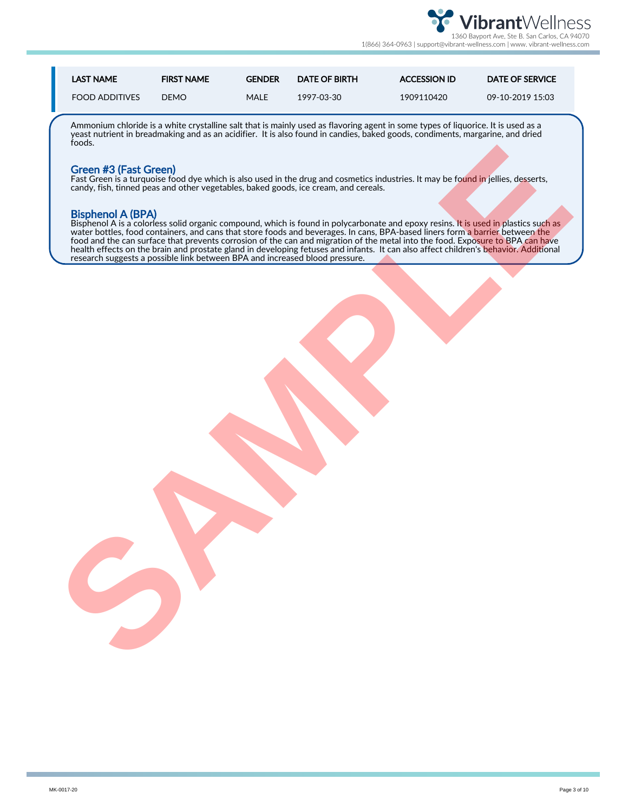

| <b>LAST NAME</b>      | <b>FIRST NAME</b> | <b>GENDER</b> | <b>DATE OF BIRTH</b> | <b>ACCESSION ID</b> | DATE OF SERVICE  |
|-----------------------|-------------------|---------------|----------------------|---------------------|------------------|
| <b>FOOD ADDITIVES</b> | <b>DEMO</b>       | <b>MALE</b>   | 1997-03-30           | 1909110420          | 09-10-2019 15:03 |

Ammonium chloride is a white crystalline salt that is mainly used as flavoring agent in some types of liquorice. It is used as a yeast nutrient in breadmaking and as an acidifier. It is also found in candies, baked goods, condiments, margarine, and dried foods.

#### Green #3 (Fast Green)

Fast Green is a turquoise food dye which is also used in the drug and cosmetics industries. It may be f<mark>ound i</mark>n jellies, <mark>de</mark>sserts, candy, fish, tinned peas and other vegetables, baked goods, ice cream, and cereals.

#### Bisphenol A (BPA)

Bisphenol A is a colorless solid organic compound, which is found in polycarbonate and epoxy resins. It is used in plastics such as water bottles, food containers, and cans that store foods and beverages. In cans, BPA-based liners form a barrier between the food and the can surface that prevents corrosion of the can and migration of the metal into the food. Exposure to BPA can have health effects on the brain and prostate gland in developing fetuses and infants. It can also affect children's <mark>behavior. Additi</mark>onal research suggests a possible link between BPA and increased blood pressure. To the proof. For the Channel of the width is should be the transformed by the state of the state is the first of the theoretical control in the state of the state of the state of the state of the state of the state of the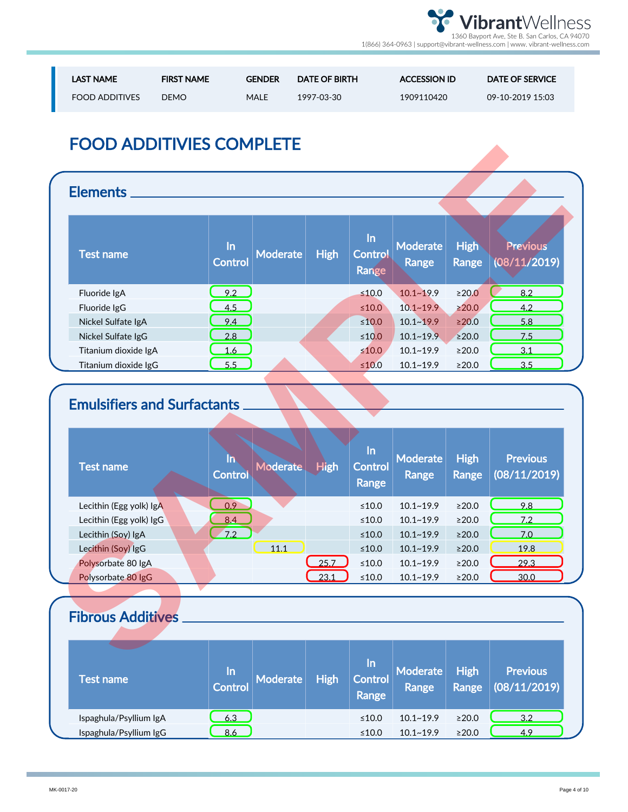

| <b>LAST NAME</b>      | <b>FIRST NAME</b> | <b>GENDER</b> | <b>DATE OF BIRTH</b> | <b>ACCESSION ID</b> | DATE OF SERVICE  |
|-----------------------|-------------------|---------------|----------------------|---------------------|------------------|
| <b>FOOD ADDITIVES</b> | DEMO              | MALE          | 1997-03-30           | 1909110420          | 09-10-2019 15:03 |

# FOOD ADDITIVIES COMPLETE

| <b>Elements</b>                    |                      |                 |             |                         |                   |                      |                          |
|------------------------------------|----------------------|-----------------|-------------|-------------------------|-------------------|----------------------|--------------------------|
| <b>Test name</b>                   | In<br><b>Control</b> | <b>Moderate</b> | <b>High</b> | In<br>Control<br>Range  | Moderate<br>Range | <b>High</b><br>Range | Previous<br>(08/11/2019) |
| Fluoride IgA                       | 9.2                  |                 |             | $≤10.0$                 | $10.1 - 19.9$     | $\geq$ 20.0          | 8.2                      |
| Fluoride IgG                       | 4.5                  |                 |             | $≤10.0$                 | $10.1 - 19.9$     | $\geq$ 20.0          | 4.2                      |
| Nickel Sulfate IgA                 | 9.4                  |                 |             | $≤10.0$                 | $10.1 - 19.9$     | $\geq 20.0$          | 5.8                      |
| Nickel Sulfate IgG                 | 2.8                  |                 |             | $≤10.0$                 | $10.1 - 19.9$     | $\geq$ 20.0          | 7.5                      |
|                                    | 1.6                  |                 |             | $\leq 10.0$             | $10.1 - 19.9$     | $\geq$ 20.0          | 3.1                      |
| Titanium dioxide IgA               |                      |                 |             |                         |                   |                      |                          |
| Titanium dioxide IgG               | 5.5                  |                 |             | $≤10.0$                 | $10.1 - 19.9$     | ≥20.0                | 3.5                      |
|                                    | Iñ.                  |                 |             | In                      | <b>Moderate</b>   | <b>High</b>          | <b>Previous</b>          |
| <b>Test name</b>                   | <b>Control</b>       | <b>Moderate</b> | <b>High</b> | <b>Control</b><br>Range | <b>Range</b>      | Range                |                          |
| Lecithin (Egg yolk) IgA            | 0.9                  |                 |             | $\leq 10.0$             | $10.1 - 19.9$     | ≥20.0                | 9.8                      |
| Lecithin (Egg yolk) IgG            | 8.4                  |                 |             | ≤10.0                   | $10.1 - 19.9$     | ≥20.0                | 7.2                      |
| Lecithin (Soy) IgA                 | 7.2                  |                 |             | $≤10.0$                 | $10.1 - 19.9$     | $\geq$ 20.0          | 7.0                      |
| Lecithin (Soy) IgG                 |                      | 11.1            |             | $\leq 10.0$             | $10.1 - 19.9$     | ≥20.0                | (08/11/2019)<br>19.8     |
| Polysorbate 80 IgA                 |                      |                 | 25.7        | $\leq 10.0$             | $10.1 - 19.9$     | $\geq$ 20.0          | 29.3                     |
| Polysorbate 80 IgG                 |                      |                 | 23.1        | $≤10.0$                 | $10.1 - 19.9$     | ≥20.0                | 30.0                     |
| <b>Emulsifiers and Surfactants</b> |                      |                 |             |                         |                   |                      |                          |

# Emulsifiers and Surfactants

| <b>Test name</b>        | $\ln$<br><b>Control</b> | <b>Moderate</b> | <b>High</b> | $\ln$<br><b>Control</b><br>Range | <b>Moderate</b><br><b>Range</b> | <b>High</b><br><b>Range</b> | <b>Previous</b><br>(08/11/2019) |
|-------------------------|-------------------------|-----------------|-------------|----------------------------------|---------------------------------|-----------------------------|---------------------------------|
| Lecithin (Egg yolk) IgA | 0.9                     |                 |             | $\leq 10.0$                      | $10.1 - 19.9$                   | >20.0                       | 9.8                             |
| Lecithin (Egg yolk) IgG | 8.4                     |                 |             | ≤10.0                            | $10.1 - 19.9$                   | >20.0                       | 7.2                             |
| Lecithin (Soy) IgA      | 7.2                     |                 |             | ≤10.0                            | $10.1 - 19.9$                   | >20.0                       | 7.0                             |
| Lecithin (Soy) IgG      |                         | 11.1            |             | ≤10.0                            | $10.1 - 19.9$                   | >20.0                       | 19.8                            |
| Polysorbate 80 IgA      |                         |                 | 25.7        | $≤10.0$                          | $10.1 - 19.9$                   | >20.0                       | 29.3                            |
| Polysorbate 80 IgG      |                         |                 | 23.1        | ≤10.0                            | $10.1 - 19.9$                   | $\geq 20.0$                 | 30.0                            |

# Fibrous Additives

| Test name              | /ln/<br><b>Control</b> | Moderate | <b>High</b> | /In<br><b>Control</b><br>Range | Moderate<br>Range | <b>High</b><br>Range | <b>Previous</b><br>(08/11/2019) |  |
|------------------------|------------------------|----------|-------------|--------------------------------|-------------------|----------------------|---------------------------------|--|
| Ispaghula/Psyllium IgA | 6.3                    |          |             | ≤10.0                          | $10.1 - 19.9$     | $\geq 20.0$          | 3.2                             |  |
| Ispaghula/Psyllium IgG | 8.6                    |          |             | ≤10.0                          | $10.1 - 19.9$     | $\geq 20.0$          | 4.9                             |  |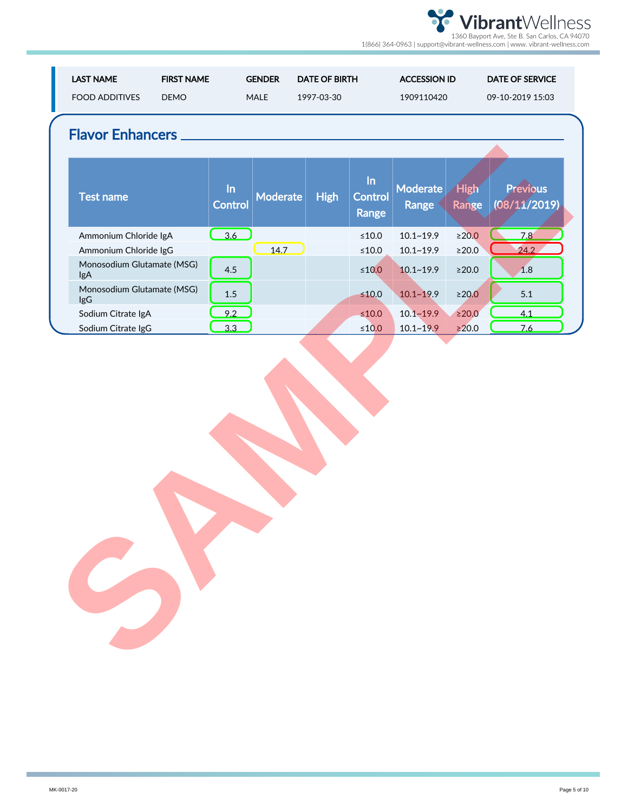| <b>LAST NAME</b><br><b>FOOD ADDITIVES</b>           | <b>FIRST NAME</b><br><b>DEMO</b>           | <b>GENDER</b><br>MALE | <b>DATE OF BIRTH</b><br>1997-03-30 |                               | <b>ACCESSION ID</b><br>1909110420 |                      | <b>DATE OF SERVICE</b><br>09-10-2019 15:03 |
|-----------------------------------------------------|--------------------------------------------|-----------------------|------------------------------------|-------------------------------|-----------------------------------|----------------------|--------------------------------------------|
| <b>Flavor Enhancers _</b>                           |                                            |                       |                                    |                               |                                   |                      |                                            |
| <b>Test name</b>                                    | In<br>Control                              | <b>Moderate</b>       | <b>High</b>                        | In<br><b>Control</b><br>Range | Moderate<br>Range                 | <b>High</b><br>Range | Previous<br>(08/11/2019)                   |
| Ammonium Chloride IgA                               | $\begin{array}{c} \boxed{3.6} \end{array}$ |                       |                                    | $\leq 10.0$                   | $10.1 - 19.9$                     | $\geq$ 20.0          | 7,8                                        |
| Ammonium Chloride IgG<br>Monosodium Glutamate (MSG) |                                            | 14.7                  |                                    | $\leq 10.0$                   | $10.1 - 19.9$                     | $\geq$ 20.0          | 24.2                                       |
| <b>IgA</b>                                          | 4.5                                        |                       |                                    | $\leq 10.0$                   | $10.1 - 19.9$                     | $\geq$ 20.0          | 1.8                                        |
| Monosodium Glutamate (MSG)<br><b>IgG</b>            | $1.5\,$                                    |                       |                                    | $≤10.0$                       | $10.1 - 19.9$                     | $\geq 20.0$          | 5.1                                        |
| Sodium Citrate IgA                                  | 9.2                                        |                       |                                    | $\leq 10.0$                   | $10.1 - 19.9$                     | $\geq$ 20.0          | 4.1                                        |
| Sodium Citrate IgG                                  | 3.3                                        |                       |                                    | $≤10.0$                       | $10.1 - 19.9$                     | $\geq 20.0$          | 7.6                                        |
|                                                     |                                            |                       |                                    |                               |                                   |                      |                                            |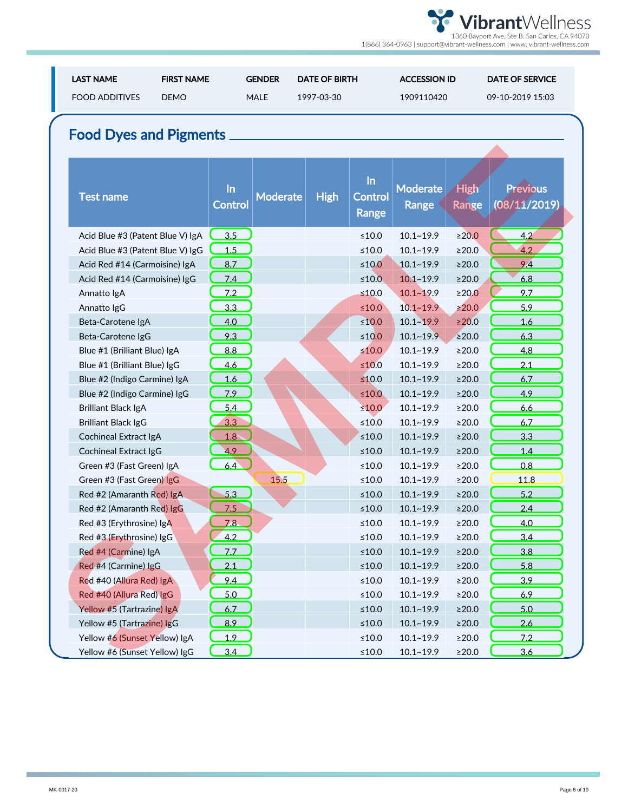| <b>LAST NAME</b><br><b>FOOD ADDITIVES</b> | <b>FIRST NAME</b><br><b>DEMO</b> | <b>GENDER</b><br><b>MALE</b> | <b>DATE OF BIRTH</b><br>1997-03-30 |                        | <b>ACCESSION ID</b><br>1909110420 |                      | <b>DATE OF SERVICE</b><br>09-10-2019 15:03 |
|-------------------------------------------|----------------------------------|------------------------------|------------------------------------|------------------------|-----------------------------------|----------------------|--------------------------------------------|
| <b>Food Dyes and Pigments.</b>            |                                  |                              |                                    |                        |                                   |                      |                                            |
| <b>Test name</b>                          | $\ln$<br><b>Control</b>          | <b>Moderate</b>              | <b>High</b>                        | In<br>Control<br>Range | <b>Moderate</b><br>Range          | <b>High</b><br>Range | <b>Previous</b><br>(08/11/2019)            |
| Acid Blue #3 (Patent Blue V) IgA          | 3.5                              |                              |                                    | $≤10.0$                | $10.1 - 19.9$                     | $\geq$ 20.0          | 4.2                                        |
| Acid Blue #3 (Patent Blue V) IgG          | 1.5                              |                              |                                    | $≤10.0$                | $10.1 - 19.9$                     | $\geq$ 20.0          | 4.2                                        |
| Acid Red #14 (Carmoisine) IgA             | 8.7                              |                              |                                    | $\leq 10.0$            | $10.1 - 19.9$                     | $\geq$ 20.0          | 9.4                                        |
| Acid Red #14 (Carmoisine) IgG             | 7.4                              |                              |                                    | $\leq 10.0$            | $10.1 - 19.9$                     | $\geq$ 20.0          | 6.8                                        |
| Annatto IgA                               | 7.2                              |                              |                                    | $≤10.0$                | $10.1 - 19.9$                     | $\geq$ 20.0          | 9.7                                        |
| Annatto IgG                               | 3.3                              |                              |                                    | $\leq 10.0$            | $10.1 - 19.9$                     | $\geq 20.0$          | 5.9                                        |
| Beta-Carotene IgA                         | 4.0                              |                              |                                    | $≤10.0$                | $10.1 - 19.9$                     | ≥20.0                | 1.6                                        |
| Beta-Carotene IgG                         | 9.3                              |                              |                                    | $≤10.0$                | $10.1 - 19.9$                     | $\geq$ 20.0          | 6.3                                        |
| Blue #1 (Brilliant Blue) IgA              | 8.8                              |                              |                                    | $\leq 10.0$            | $10.1 - 19.9$                     | ≥20.0                | 4.8                                        |
| Blue #1 (Brilliant Blue) IgG              | 4.6                              |                              |                                    | $\leq 10.0$            | $10.1 - 19.9$                     | $\geq$ 20.0          | 2.1                                        |
| Blue #2 (Indigo Carmine) IgA              | 1.6                              |                              |                                    | $≤10.0$                | $10.1 - 19.9$                     | $\geq$ 20.0          | 6.7                                        |
| Blue #2 (Indigo Carmine) IgG              | 7.9                              |                              |                                    | $\leq 10.0$            | $10.1 - 19.9$                     | $\geq$ 20.0          | 4.9                                        |
| <b>Brilliant Black IgA</b>                | 5.4                              |                              |                                    | $\leq 10.0$            | $10.1 - 19.9$                     | $\geq$ 20.0          | 6.6                                        |
| <b>Brilliant Black IgG</b>                | 3.3                              |                              |                                    | $\leq 10.0$            | $10.1 - 19.9$                     | $\geq$ 20.0          | 6.7                                        |
| Cochineal Extract IgA                     | 1.8                              |                              |                                    | $≤10.0$                | $10.1 - 19.9$                     | $\geq$ 20.0          | 3.3                                        |
| <b>Cochineal Extract IgG</b>              | 4.9                              |                              |                                    | $≤10.0$                | $10.1 - 19.9$                     | $\geq$ 20.0          | 1.4                                        |
| Green #3 (Fast Green) IgA                 | 6.4                              |                              |                                    | $≤10.0$                | $10.1 - 19.9$                     | $\geq$ 20.0          | 0.8                                        |
| Green #3 (Fast Green) IgG                 |                                  | 15.5                         |                                    | $≤10.0$                | $10.1 - 19.9$                     | >20.0                | 11.8                                       |
| Red #2 (Amaranth Red) IgA                 | 5.3                              |                              |                                    | $≤10.0$                | $10.1 - 19.9$                     | $\geq$ 20.0          | 5.2                                        |
| Red #2 (Amaranth Red) IgG                 | 7.5                              |                              |                                    | $≤10.0$                | $10.1 - 19.9$                     | $\geq 20.0$          | 2.4                                        |
| Red #3 (Erythrosine) IgA                  | <u>7.8 </u>                      |                              |                                    | ≤10.0                  | 10.1~19.9                         | ≥20.0                | <u>4.0</u>                                 |
| Red #3 (Erythrosine) IgG                  | 4.2                              |                              |                                    | $≤10.0$                | $10.1 - 19.9$                     | $\geq$ 20.0          | 3.4                                        |
| Red #4 (Carmine) IgA                      | 7.7                              |                              |                                    | $\leq 10.0$            | $10.1 - 19.9$                     | $\geq$ 20.0          | 3.8                                        |
| Red #4 (Carmine) IgG                      | 2.1                              |                              |                                    | $\leq 10.0$            | $10.1 - 19.9$                     | $\geq$ 20.0          | 5.8                                        |
| Red #40 (Allura Red) IgA                  | 9.4                              |                              |                                    | $\leq 10.0$            | $10.1 - 19.9$                     | $\geq$ 20.0          | 3.9                                        |
| Red #40 (Allura Red) IgG                  | 5.0                              |                              |                                    | $≤10.0$                | $10.1 - 19.9$                     | $\geq$ 20.0          | 6.9                                        |
| Yellow #5 (Tartrazine) IgA                | 6.7                              |                              |                                    | $\leq 10.0$            | $10.1 - 19.9$                     | $\geq$ 20.0          | 5.0                                        |
| Yellow #5 (Tartrazine) IgG                | 8.9                              |                              |                                    | $\leq 10.0$            | $10.1 - 19.9$                     | $\geq$ 20.0          | 2.6                                        |
| Yellow #6 (Sunset Yellow) IgA             | 1.9                              |                              |                                    | $\leq 10.0$            | $10.1 - 19.9$                     | $\geq$ 20.0          | 7.2                                        |
| Yellow #6 (Sunset Yellow) IgG             | 3.4                              |                              |                                    | $\leq 10.0$            | $10.1 - 19.9$                     | $\geq$ 20.0          | 3.6                                        |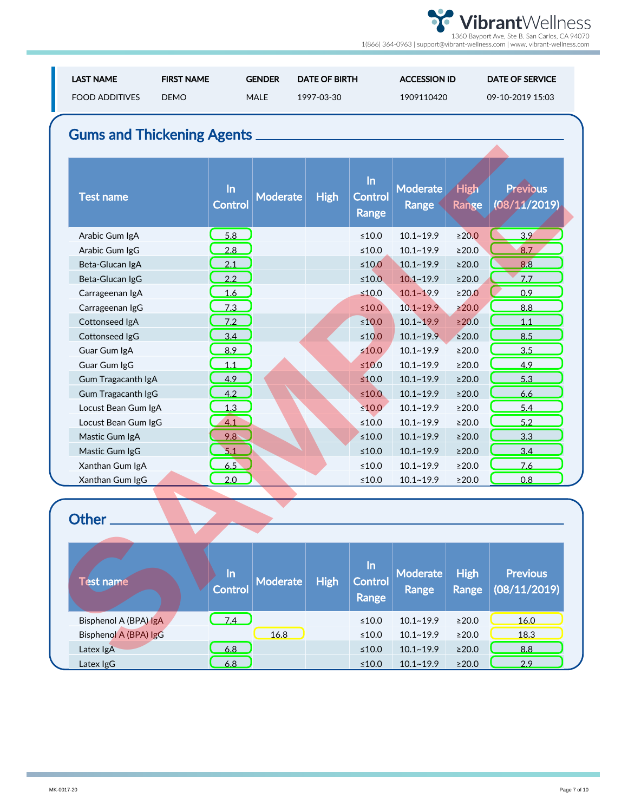| <b>LAST NAME</b><br><b>FOOD ADDITIVES</b> | <b>FIRST NAME</b><br><b>DEMO</b> | <b>GENDER</b><br><b>MALE</b> | <b>DATE OF BIRTH</b><br>1997-03-30 |                               | <b>ACCESSION ID</b><br>1909110420 |                             | <b>DATE OF SERVICE</b><br>09-10-2019 15:03 |
|-------------------------------------------|----------------------------------|------------------------------|------------------------------------|-------------------------------|-----------------------------------|-----------------------------|--------------------------------------------|
| <b>Gums and Thickening Agents</b>         |                                  |                              |                                    |                               |                                   |                             |                                            |
| <b>Test name</b>                          | In<br><b>Control</b>             | <b>Moderate</b>              | <b>High</b>                        | $\ln$<br>Control<br>Range     | Moderate<br><b>Range</b>          | <b>High</b><br>Range        | <b>Previous</b><br>(08/11/2019)            |
| Arabic Gum IgA                            | 5.8                              |                              |                                    | $≤10.0$                       | $10.1 - 19.9$                     | $\geq 20.0$                 | 3.9                                        |
| Arabic Gum IgG                            | 2.8                              |                              |                                    | $≤10.0$                       | $10.1 - 19.9$                     | $\geq$ 20.0                 | 8.7                                        |
| Beta-Glucan IgA                           | 2.1                              |                              |                                    | $\leq 10.0$                   | $10.1 - 19.9$                     | $\geq$ 20.0                 | 8.8                                        |
| Beta-Glucan IgG                           | 2.2                              |                              |                                    | $\leq 10.0$                   | $10.1 - 19.9$                     | $\geq$ 20.0                 | 7.7                                        |
| Carrageenan IgA                           | 1.6                              |                              |                                    | $≤10.0$                       | $10.1 - 19.9$                     | $\geq$ 20.0                 | 0.9                                        |
| Carrageenan IgG                           | 7.3                              |                              |                                    | $\leq 10.0$                   | $10.1 - 19.9$                     | $\geq 20.0$                 | 8.8                                        |
| Cottonseed IgA                            | 7.2                              |                              |                                    | $≤10.0$                       | $10.1 - 19.9$                     | $\geq$ 20.0                 | 1.1                                        |
| Cottonseed IgG                            | 3.4                              |                              |                                    | ≤10.0                         | $10.1 - 19.9$                     | $\geq$ 20.0                 | 8.5                                        |
| Guar Gum IgA                              | 8.9                              |                              |                                    | $\leq 10.0$                   | $10.1 - 19.9$                     | $\geq$ 20.0                 | 3.5                                        |
| Guar Gum IgG                              | 1.1                              |                              |                                    | $\leq 10.0$                   | $10.1 - 19.9$                     | $\geq$ 20.0                 | 4.9                                        |
| Gum Tragacanth IgA                        | 4.9                              |                              |                                    | $≤10.0$                       | $10.1 - 19.9$                     | $\geq$ 20.0                 | 5.3                                        |
| Gum Tragacanth IgG                        | 4.2                              |                              |                                    | $\leq 10.0$                   | $10.1 - 19.9$                     | $\geq$ 20.0                 | 6.6                                        |
| Locust Bean Gum IgA                       | 1.3                              |                              |                                    | $\leq 10.0$                   | $10.1 - 19.9$                     | $\geq$ 20.0                 | 5.4                                        |
| Locust Bean Gum IgG                       | 4.1                              |                              |                                    | $\leq 10.0$                   | $10.1 - 19.9$                     | $\geq$ 20.0                 | 5.2                                        |
| Mastic Gum IgA                            | 9.8                              |                              |                                    | $\leq 10.0$                   | $10.1 - 19.9$                     | $\geq$ 20.0                 | 3.3                                        |
| Mastic Gum IgG                            | 5.1                              |                              |                                    | $\leq 10.0$                   | $10.1 - 19.9$                     | $\geq$ 20.0                 | 3.4                                        |
| Xanthan Gum IgA                           | 6.5                              |                              |                                    | $\leq 10.0$                   | $10.1 - 19.9$                     | $\geq$ 20.0                 | 7.6                                        |
| Xanthan Gum IgG                           | 2.0                              |                              |                                    | $≤10.0$                       | $10.1 - 19.9$                     | ≥20.0                       | 0.8                                        |
| Other                                     |                                  |                              |                                    |                               |                                   |                             |                                            |
|                                           |                                  |                              |                                    |                               |                                   |                             |                                            |
| <b>Test name</b>                          | In<br>Control                    | <b>Moderate</b>              | <b>High</b>                        | In<br><b>Control</b><br>Range | <b>Moderate</b><br>Range          | <b>High</b><br><b>Range</b> | <b>Previous</b><br>(08/11/2019)            |
| Bisphenol A (BPA) IgA                     | 7.4                              |                              |                                    | $\leq 10.0$                   | $10.1 - 19.9$                     | $\geq$ 20.0                 | 16.0                                       |
| Bisphenol A (BPA) IgG                     |                                  | 16.8                         |                                    | $\leq 10.0$                   | $10.1 - 19.9$                     | $\geq$ 20.0                 | 18.3                                       |
| Latex IgA                                 | 6.8                              |                              |                                    | $\leq 10.0$                   | $10.1 - 19.9$                     | $\geq$ 20.0                 | 8.8                                        |
| 1.48112C                                  | $\epsilon$ o                     |                              |                                    | $-100$                        | 101100                            | 3000                        | 20                                         |

| <b>Test name</b>      | <u>In</u><br>Control | <b>Moderate</b> | <b>High</b> | <u>In</u><br><b>Control</b><br>Range | Moderate<br>Range | <b>High</b><br>Range | <b>Previous</b><br>(08/11/2019) |  |
|-----------------------|----------------------|-----------------|-------------|--------------------------------------|-------------------|----------------------|---------------------------------|--|
| Bisphenol A (BPA) IgA | 74                   |                 |             | ≤10.0                                | $10.1 - 19.9$     | >20.0                | 16.0                            |  |
| Bisphenol A (BPA) IgG |                      | 16.8            |             | ≤10.0                                | $10.1 - 19.9$     | >20.0                | 18.3                            |  |
| Latex IgA             | 6.8                  |                 |             | ≤10.0                                | $10.1 - 19.9$     | $\geq 20.0$          | 8.8                             |  |
| Latex IgG             | 6.8                  |                 |             | ≤10.0                                | $10.1 - 19.9$     | $\geq 20.0$          | 2.9                             |  |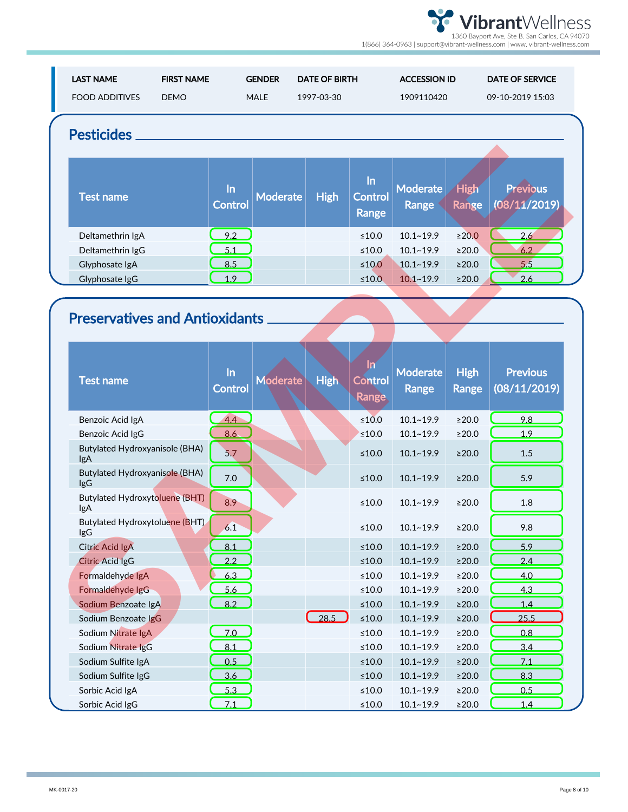| <b>LAST NAME</b><br><b>FOOD ADDITIVES</b>    | <b>FIRST NAME</b><br><b>DEMO</b> | <b>GENDER</b><br><b>MALE</b> | <b>DATE OF BIRTH</b><br>1997-03-30 |                                  | <b>ACCESSION ID</b><br>1909110420 |                             | <b>DATE OF SERVICE</b><br>09-10-2019 15:03 |
|----------------------------------------------|----------------------------------|------------------------------|------------------------------------|----------------------------------|-----------------------------------|-----------------------------|--------------------------------------------|
| <b>Pesticides</b>                            |                                  |                              |                                    |                                  |                                   |                             |                                            |
| <b>Test name</b>                             | $\ln$<br>Control                 | <b>Moderate</b>              | <b>High</b>                        | $\ln$<br><b>Control</b><br>Range | <b>Moderate</b><br><b>Range</b>   | <b>High</b><br>Range        | Previous<br>(08/11/2019)                   |
| Deltamethrin IgA                             | 9.2                              |                              |                                    | $\leq 10.0$                      | $10.1 - 19.9$                     | ≥20.0                       | 2.6                                        |
| Deltamethrin IgG                             | 5.1                              |                              |                                    | $\leq 10.0$                      | $10.1 - 19.9$                     | ≥20.0                       | 6.2                                        |
| Glyphosate IgA                               | 8.5                              |                              |                                    | $≤10.0$                          | $10.1 - 19.9$                     | $\geq$ 20.0                 | 5.5                                        |
| Glyphosate IgG                               | 1.9                              |                              |                                    | $\leq 10.0$                      | $10.1 - 19.9$                     | $\geq$ 20.0                 | 2.6                                        |
|                                              |                                  |                              |                                    |                                  |                                   |                             |                                            |
|                                              |                                  |                              |                                    |                                  |                                   |                             |                                            |
| <b>Preservatives and Antioxidants</b>        |                                  |                              |                                    |                                  |                                   |                             |                                            |
|                                              |                                  |                              |                                    |                                  |                                   |                             |                                            |
| <b>Test name</b>                             | In<br>Control                    | Moderate                     | <b>High</b>                        | <u>1n</u><br>Control<br>Range    | <b>Moderate</b><br>Range          | <b>High</b><br><b>Range</b> | <b>Previous</b><br>(08/11/2019)            |
| Benzoic Acid IgA                             | 4.4                              |                              |                                    | $≤10.0$                          | $10.1 - 19.9$                     | $\geq$ 20.0                 | 9.8                                        |
| Benzoic Acid IgG                             | 8.6                              |                              |                                    | $≤10.0$                          | $10.1 - 19.9$                     | $\geq$ 20.0                 | 1.9                                        |
| Butylated Hydroxyanisole (BHA)<br><b>lgA</b> | 5.7                              |                              |                                    | $\leq 10.0$                      | $10.1 - 19.9$                     | $\geq$ 20.0                 | 1.5                                        |
| Butylated Hydroxyanisole (BHA)<br><b>lgG</b> | 7.0                              |                              |                                    | $\leq 10.0$                      | $10.1 - 19.9$                     | $\geq$ 20.0                 | 5.9                                        |
| <b>Butylated Hydroxytoluene (BHT)</b><br>lgA | 8.9                              |                              |                                    | $\leq 10.0$                      | $10.1 - 19.9$                     | $\geq$ 20.0                 | 1.8                                        |
| Butylated Hydroxytoluene (BHT)<br>lgG        | 6.1                              |                              |                                    | $\leq\!10.0$                     | $10.1 - 19.9$                     | $\geq$ 20.0                 | 9.8                                        |
|                                              |                                  |                              |                                    |                                  |                                   |                             |                                            |
| <b>Citric Acid IgA</b>                       | 8.1                              |                              |                                    | $\leq 10.0$                      | $10.1 - 19.9$                     | $\geq$ 20.0                 | 5.9                                        |
| Citric Acid IgG                              | 2.2                              |                              |                                    | $\leq 10.0$                      | $10.1 - 19.9$                     | $\geq$ 20.0                 | 2.4                                        |
| Formaldehyde IgA                             | 6.3                              |                              |                                    | $\leq 10.0$                      | $10.1 - 19.9$                     | $\geq$ 20.0                 | 4.0                                        |
| Formaldehyde IgG                             | 5.6                              |                              |                                    | $\leq 10.0$                      | $10.1 - 19.9$                     | $\geq$ 20.0                 | 4.3                                        |
| Sodium Benzoate IgA                          | 8.2                              |                              |                                    | $\leq 10.0$                      | $10.1 - 19.9$                     | $\geq$ 20.0                 | 1.4                                        |
| Sodium Benzoate IgG                          |                                  |                              | $\bigcup_{28.5}$                   | $\leq 10.0$                      | $10.1 - 19.9$                     | $\geq$ 20.0                 | 25.5                                       |
| Sodium Nitrate IgA                           | 7.0                              |                              |                                    | $\leq 10.0$                      | $10.1 - 19.9$                     | $\geq$ 20.0                 | 0.8                                        |
| Sodium Nitrate IgG                           | 8.1                              |                              |                                    | $\leq\!10.0$                     | $10.1 - 19.9$                     | $\geq$ 20.0                 | 3.4                                        |
| Sodium Sulfite IgA                           | 0.5                              |                              |                                    | $\leq 10.0$                      | $10.1 - 19.9$                     | $\geq$ 20.0                 | 7.1                                        |
| Sodium Sulfite IgG<br>Sorbic Acid IgA        | 3.6<br>5.3                       |                              |                                    | $\leq 10.0$<br>$\leq 10.0$       | $10.1 - 19.9$<br>$10.1 - 19.9$    | $\geq$ 20.0<br>$\geq$ 20.0  | 8.3<br>0.5                                 |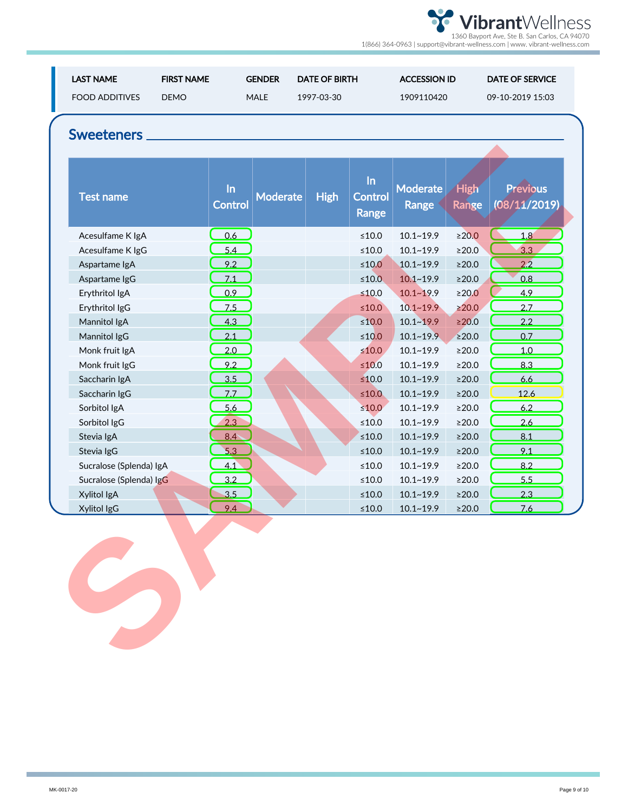| <b>LAST NAME</b><br><b>FOOD ADDITIVES</b><br>Sweeteners | <b>FIRST NAME</b><br><b>DEMO</b> | <b>GENDER</b><br><b>MALE</b> | <b>DATE OF BIRTH</b><br>1997-03-30 |                                  | <b>ACCESSION ID</b><br>1909110420 |                             | <b>DATE OF SERVICE</b><br>09-10-2019 15:03 |
|---------------------------------------------------------|----------------------------------|------------------------------|------------------------------------|----------------------------------|-----------------------------------|-----------------------------|--------------------------------------------|
| <b>Test name</b>                                        | $\ln$<br><b>Control</b>          | <b>Moderate</b>              | <b>High</b>                        | $\ln$<br><b>Control</b><br>Range | <b>Moderate</b><br>Range          | <b>High</b><br><b>Range</b> | <b>Previous</b><br>(08/11/2019)            |
| Acesulfame K IgA                                        | 0.6                              |                              |                                    | $\leq 10.0$                      | $10.1 - 19.9$                     | $\geq$ 20.0                 | 1,8                                        |
| Acesulfame K IgG                                        | 5.4                              |                              |                                    | $≤10.0$                          | $10.1 - 19.9$                     | $\geq$ 20.0                 | 3.3                                        |
| Aspartame IgA                                           | 9.2                              |                              |                                    | $\leq 10.0$                      | $10.1 - 19.9$                     | $\geq$ 20.0                 | 2.2                                        |
| Aspartame IgG                                           | 7.1                              |                              |                                    | $\leq 10.0$                      | $10.1 - 19.9$                     | $\geq$ 20.0                 | 0.8                                        |
| Erythritol IgA                                          | 0.9                              |                              |                                    | $≤10.0$                          | $10.1 - 19.9$                     | $\geq$ 20.0                 | 4.9                                        |
| Erythritol IgG                                          | 7.5                              |                              |                                    | $\leq 10.0$                      | $10.1 - 19.9$                     | $\geq 20.0$                 | 2.7                                        |
| Mannitol IgA                                            | 4.3                              |                              |                                    | $≤10.0$                          | $10.1 - 19.9$                     | $\geq$ 20.0                 | 2.2                                        |
| Mannitol IgG                                            | 2.1                              |                              |                                    | ≤ $10.0$                         | $10.1 - 19.9$                     | $\geq$ 20.0                 | 0.7                                        |
| Monk fruit IgA                                          | 2.0                              |                              |                                    | $\leq 10.0$                      | $10.1 - 19.9$                     | $\geq$ 20.0                 | 1.0                                        |
| Monk fruit IgG                                          | 9.2                              |                              |                                    | $\leq 10.0$                      | $10.1 - 19.9$                     | $\geq$ 20.0                 | 8.3                                        |
| Saccharin IgA                                           | 3.5                              |                              |                                    | $\leq 10.0$                      | $10.1 - 19.9$                     | $\geq$ 20.0                 | 6.6                                        |
| Saccharin IgG                                           | 7.7                              |                              |                                    | $\leq 10.0$                      | $10.1 - 19.9$                     | $\geq$ 20.0                 | 12.6                                       |
| Sorbitol IgA                                            | 5.6                              |                              |                                    | $\leq 10.0$                      | $10.1 - 19.9$                     | $\geq$ 20.0                 | 6.2                                        |
| Sorbitol IgG                                            | 2.3                              |                              |                                    | $\leq 10.0$                      | $10.1 - 19.9$                     | $\geq$ 20.0                 | 2.6                                        |
| Stevia IgA                                              | 8.4                              |                              |                                    | $\leq 10.0$                      | $10.1 - 19.9$                     | $\geq$ 20.0                 | 8.1                                        |
| Stevia IgG                                              | 5.3                              |                              |                                    | $\leq 10.0$                      | $10.1 - 19.9$                     | $\geq$ 20.0                 | 9.1                                        |
| Sucralose (Splenda) IgA                                 | 4.1                              |                              |                                    | $\leq 10.0$                      | $10.1 - 19.9$                     | $\geq$ 20.0                 | 8.2                                        |
| Sucralose (Splenda) IgG                                 | 3.2                              |                              |                                    | $\leq 10.0$                      | $10.1 - 19.9$                     | $\geq$ 20.0                 | 5.5                                        |
| Xylitol IgA                                             | 3.5                              |                              |                                    | $\leq 10.0$                      | $10.1 - 19.9$                     | $\geq$ 20.0                 | 2.3                                        |
| Xylitol IgG                                             | 9.4                              |                              |                                    | $\leq 10.0$                      | $10.1 - 19.9$                     | $\geq$ 20.0                 | 7.6                                        |